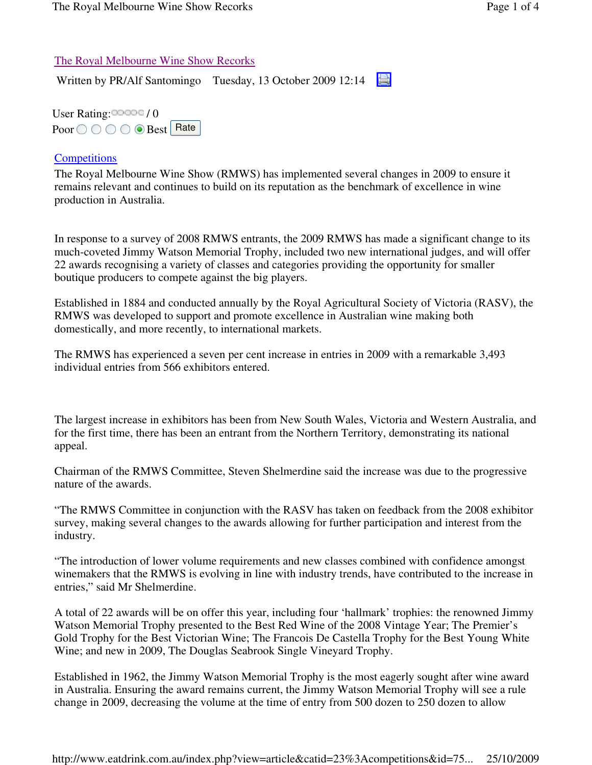## The Royal Melbourne Wine Show Recorks

Written by PR/Alf Santomingo Tuesday, 13 October 2009 12:14

User Rating: / 0 Poor  $\bigcirc \bigcirc \bigcirc \bigcirc$  Best Rate

## **Competitions**

The Royal Melbourne Wine Show (RMWS) has implemented several changes in 2009 to ensure it remains relevant and continues to build on its reputation as the benchmark of excellence in wine production in Australia.

In response to a survey of 2008 RMWS entrants, the 2009 RMWS has made a significant change to its much-coveted Jimmy Watson Memorial Trophy, included two new international judges, and will offer 22 awards recognising a variety of classes and categories providing the opportunity for smaller boutique producers to compete against the big players.

Established in 1884 and conducted annually by the Royal Agricultural Society of Victoria (RASV), the RMWS was developed to support and promote excellence in Australian wine making both domestically, and more recently, to international markets.

The RMWS has experienced a seven per cent increase in entries in 2009 with a remarkable 3,493 individual entries from 566 exhibitors entered.

The largest increase in exhibitors has been from New South Wales, Victoria and Western Australia, and for the first time, there has been an entrant from the Northern Territory, demonstrating its national appeal.

Chairman of the RMWS Committee, Steven Shelmerdine said the increase was due to the progressive nature of the awards.

"The RMWS Committee in conjunction with the RASV has taken on feedback from the 2008 exhibitor survey, making several changes to the awards allowing for further participation and interest from the industry.

"The introduction of lower volume requirements and new classes combined with confidence amongst winemakers that the RMWS is evolving in line with industry trends, have contributed to the increase in entries," said Mr Shelmerdine.

A total of 22 awards will be on offer this year, including four 'hallmark' trophies: the renowned Jimmy Watson Memorial Trophy presented to the Best Red Wine of the 2008 Vintage Year; The Premier's Gold Trophy for the Best Victorian Wine; The Francois De Castella Trophy for the Best Young White Wine; and new in 2009, The Douglas Seabrook Single Vineyard Trophy.

Established in 1962, the Jimmy Watson Memorial Trophy is the most eagerly sought after wine award in Australia. Ensuring the award remains current, the Jimmy Watson Memorial Trophy will see a rule change in 2009, decreasing the volume at the time of entry from 500 dozen to 250 dozen to allow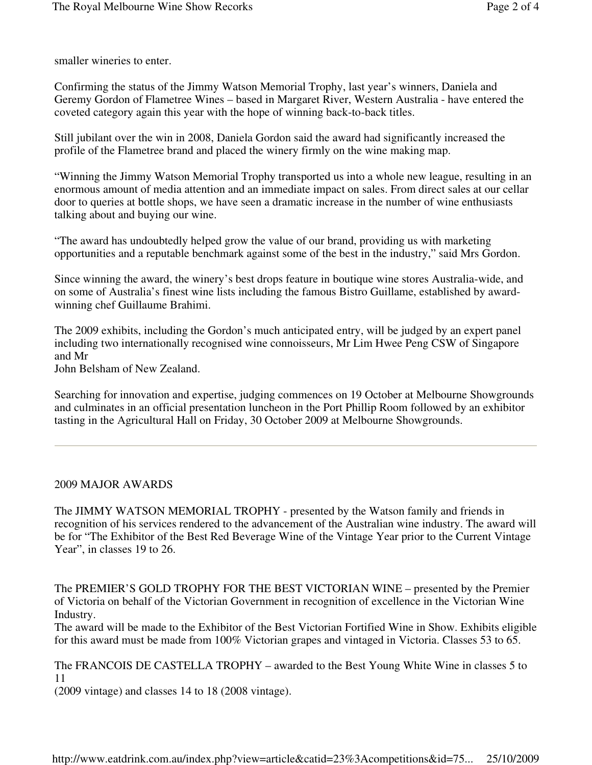smaller wineries to enter.

Confirming the status of the Jimmy Watson Memorial Trophy, last year's winners, Daniela and Geremy Gordon of Flametree Wines – based in Margaret River, Western Australia - have entered the coveted category again this year with the hope of winning back-to-back titles.

Still jubilant over the win in 2008, Daniela Gordon said the award had significantly increased the profile of the Flametree brand and placed the winery firmly on the wine making map.

"Winning the Jimmy Watson Memorial Trophy transported us into a whole new league, resulting in an enormous amount of media attention and an immediate impact on sales. From direct sales at our cellar door to queries at bottle shops, we have seen a dramatic increase in the number of wine enthusiasts talking about and buying our wine.

"The award has undoubtedly helped grow the value of our brand, providing us with marketing opportunities and a reputable benchmark against some of the best in the industry," said Mrs Gordon.

Since winning the award, the winery's best drops feature in boutique wine stores Australia-wide, and on some of Australia's finest wine lists including the famous Bistro Guillame, established by awardwinning chef Guillaume Brahimi.

The 2009 exhibits, including the Gordon's much anticipated entry, will be judged by an expert panel including two internationally recognised wine connoisseurs, Mr Lim Hwee Peng CSW of Singapore and Mr

John Belsham of New Zealand.

Searching for innovation and expertise, judging commences on 19 October at Melbourne Showgrounds and culminates in an official presentation luncheon in the Port Phillip Room followed by an exhibitor tasting in the Agricultural Hall on Friday, 30 October 2009 at Melbourne Showgrounds.

## 2009 MAJOR AWARDS

The JIMMY WATSON MEMORIAL TROPHY - presented by the Watson family and friends in recognition of his services rendered to the advancement of the Australian wine industry. The award will be for "The Exhibitor of the Best Red Beverage Wine of the Vintage Year prior to the Current Vintage Year", in classes 19 to 26.

The PREMIER'S GOLD TROPHY FOR THE BEST VICTORIAN WINE – presented by the Premier of Victoria on behalf of the Victorian Government in recognition of excellence in the Victorian Wine Industry.

The award will be made to the Exhibitor of the Best Victorian Fortified Wine in Show. Exhibits eligible for this award must be made from 100% Victorian grapes and vintaged in Victoria. Classes 53 to 65.

The FRANCOIS DE CASTELLA TROPHY – awarded to the Best Young White Wine in classes 5 to 11

(2009 vintage) and classes 14 to 18 (2008 vintage).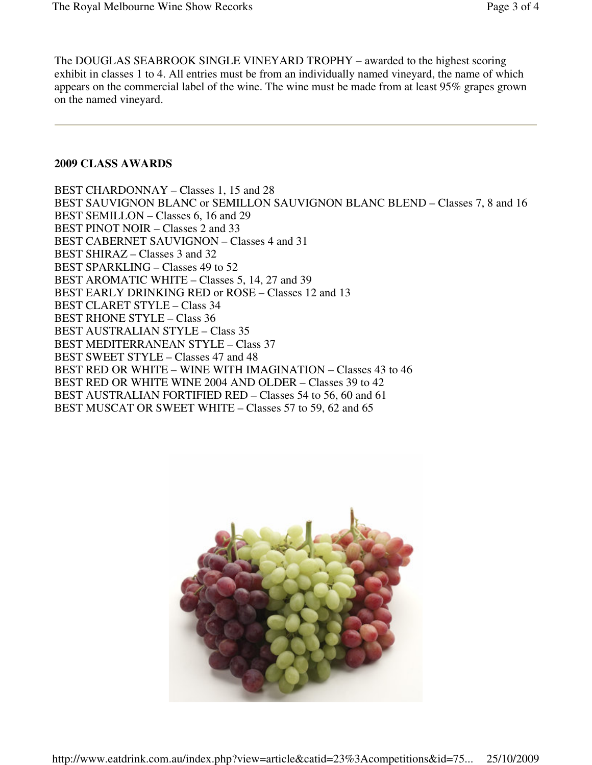The DOUGLAS SEABROOK SINGLE VINEYARD TROPHY – awarded to the highest scoring exhibit in classes 1 to 4. All entries must be from an individually named vineyard, the name of which appears on the commercial label of the wine. The wine must be made from at least 95% grapes grown on the named vineyard.

## **2009 CLASS AWARDS**

BEST CHARDONNAY – Classes 1, 15 and 28 BEST SAUVIGNON BLANC or SEMILLON SAUVIGNON BLANC BLEND – Classes 7, 8 and 16 BEST SEMILLON – Classes 6, 16 and 29 BEST PINOT NOIR – Classes 2 and 33 BEST CABERNET SAUVIGNON – Classes 4 and 31 BEST SHIRAZ – Classes 3 and 32 BEST SPARKLING – Classes 49 to 52 BEST AROMATIC WHITE – Classes 5, 14, 27 and 39 BEST EARLY DRINKING RED or ROSE – Classes 12 and 13 BEST CLARET STYLE – Class 34 BEST RHONE STYLE – Class 36 BEST AUSTRALIAN STYLE – Class 35 BEST MEDITERRANEAN STYLE – Class 37 BEST SWEET STYLE – Classes 47 and 48 BEST RED OR WHITE – WINE WITH IMAGINATION – Classes 43 to 46 BEST RED OR WHITE WINE 2004 AND OLDER – Classes 39 to 42 BEST AUSTRALIAN FORTIFIED RED – Classes 54 to 56, 60 and 61 BEST MUSCAT OR SWEET WHITE – Classes 57 to 59, 62 and 65